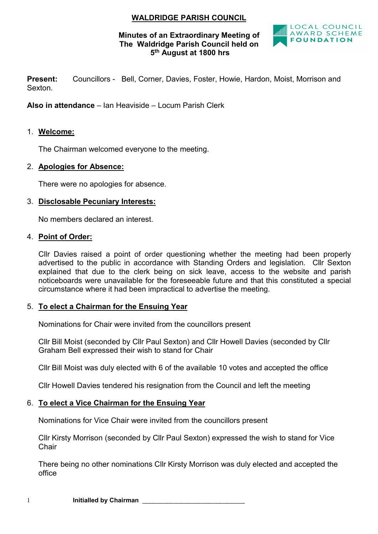# WALDRIDGE PARISH COUNCIL

## Minutes of an Extraordinary Meeting of The Waldridge Parish Council held on 5th August at 1800 hrs



Present: Councillors - Bell, Corner, Davies, Foster, Howie, Hardon, Moist, Morrison and Sexton.

Also in attendance – Ian Heaviside – Locum Parish Clerk

## 1. Welcome:

The Chairman welcomed everyone to the meeting.

## 2. Apologies for Absence:

There were no apologies for absence.

### 3. Disclosable Pecuniary Interests:

No members declared an interest.

#### 4. Point of Order:

Cllr Davies raised a point of order questioning whether the meeting had been properly advertised to the public in accordance with Standing Orders and legislation. Cllr Sexton explained that due to the clerk being on sick leave, access to the website and parish noticeboards were unavailable for the foreseeable future and that this constituted a special circumstance where it had been impractical to advertise the meeting.

### 5. To elect a Chairman for the Ensuing Year

Nominations for Chair were invited from the councillors present

Cllr Bill Moist (seconded by Cllr Paul Sexton) and Cllr Howell Davies (seconded by Cllr Graham Bell expressed their wish to stand for Chair

Cllr Bill Moist was duly elected with 6 of the available 10 votes and accepted the office

Cllr Howell Davies tendered his resignation from the Council and left the meeting

# 6. To elect a Vice Chairman for the Ensuing Year

Nominations for Vice Chair were invited from the councillors present

Cllr Kirsty Morrison (seconded by Cllr Paul Sexton) expressed the wish to stand for Vice **Chair** 

There being no other nominations Cllr Kirsty Morrison was duly elected and accepted the office

1 **Initialled by Chairman**